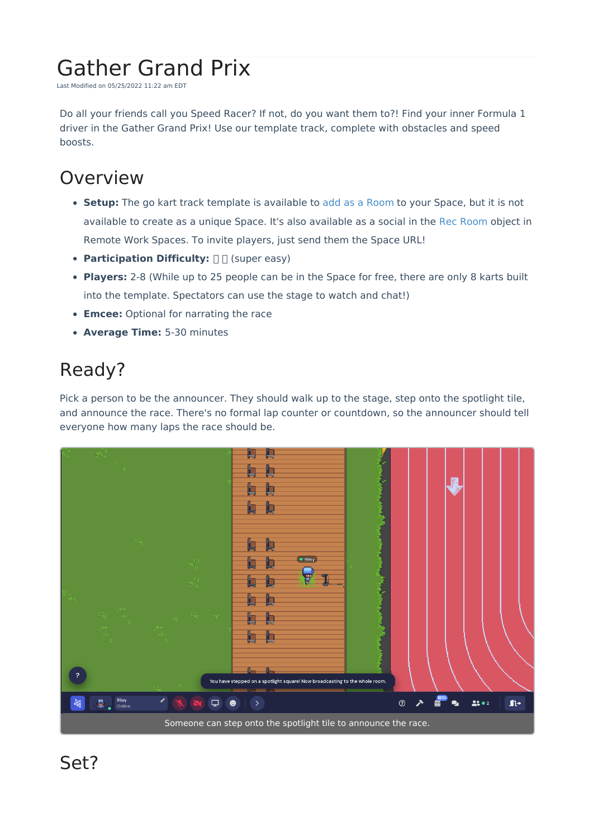# Gather Grand Prix

Last Modified on 05/25/2022 11:22 am EDT

Do all your friends call you Speed Racer? If not, do you want them to?! Find your inner Formula 1 driver in the Gather Grand Prix! Use our template track, complete with obstacles and speed boosts.

#### Overview

- **Setup:** The go kart track template is available to add as a [Room](http://support.gather.town/help/adding-a-room) to your Space, but it is not available to create as a unique Space. It's also available as a social in the Rec [Room](http://support.gather.town/help/rec-room) object in Remote Work Spaces. To invite players, just send them the Space URL!
- **Participation Difficulty:**  $\Box$  (super easy)
- **Players:** 2-8 (While up to 25 people can be in the Space for free, there are only 8 karts built into the template. Spectators can use the stage to watch and chat!)
- **Emcee:** Optional for narrating the race
- **Average Time:** 5-30 minutes

## Ready?

Pick a person to be the announcer. They should walk up to the stage, step onto the spotlight tile, and announce the race. There's no formal lap counter or countdown, so the announcer should tell everyone how many laps the race should be.

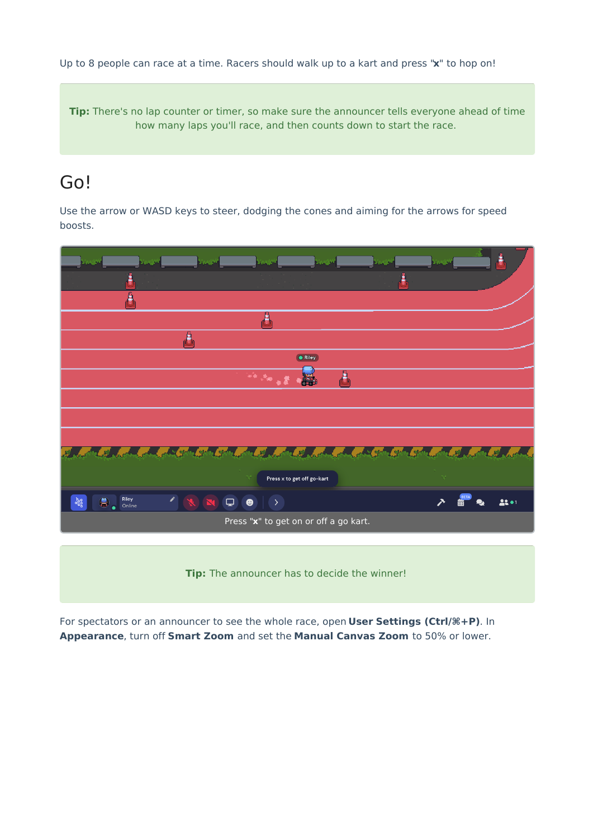Up to 8 people can race at a time. Racers should walk up to a kart and press "**x**" to hop on!

**Tip:** There's no lap counter or timer, so make sure the announcer tells everyone ahead of time how many laps you'll race, and then counts down to start the race.

#### Go!

Use the arrow or WASD keys to steer, dodging the cones and aiming for the arrows for speed boosts.

| كورين<br>bad <del>M</del>                       | Vergitt<br>كوبيريا                                                    | Vendi P                       | <b>AND</b>                             | فتنحمنا     | ۴        |
|-------------------------------------------------|-----------------------------------------------------------------------|-------------------------------|----------------------------------------|-------------|----------|
|                                                 |                                                                       |                               | ÷                                      |             |          |
| Α                                               |                                                                       |                               |                                        |             |          |
|                                                 | த                                                                     |                               |                                        |             |          |
|                                                 | δ                                                                     |                               |                                        |             |          |
|                                                 |                                                                       | <b>C</b> Riley                |                                        |             |          |
|                                                 |                                                                       | А                             |                                        |             |          |
|                                                 |                                                                       |                               |                                        |             |          |
|                                                 |                                                                       |                               |                                        |             |          |
|                                                 | l egy<br><b>Light</b><br>-58                                          |                               | l qu<br>吸                              |             |          |
| 56.B                                            | 51 94 s                                                               | Lout of the control<br>.<br>K | $\mathcal{L}$ or $\mathcal{L}$<br>C zo |             |          |
|                                                 |                                                                       | Press x to get off go-kart    |                                        | A.          |          |
| Riley<br>í<br>$\frac{957}{900}$<br>急。<br>Online | $\blacksquare$<br>$\hbox{\large \bf =}$<br>$\bullet$<br>$\rightarrow$ |                               |                                        | <b>BETA</b> | $22 - 1$ |
| Press "x" to get on or off a go kart.           |                                                                       |                               |                                        |             |          |
|                                                 |                                                                       |                               |                                        |             |          |
|                                                 | Tip: The announcer has to decide the winner!                          |                               |                                        |             |          |

For spectators or an announcer to see the whole race, open **User Settings (Ctrl/⌘+P)**. In **Appearance**, turn off **Smart Zoom** and set the **Manual Canvas Zoom** to 50% or lower.